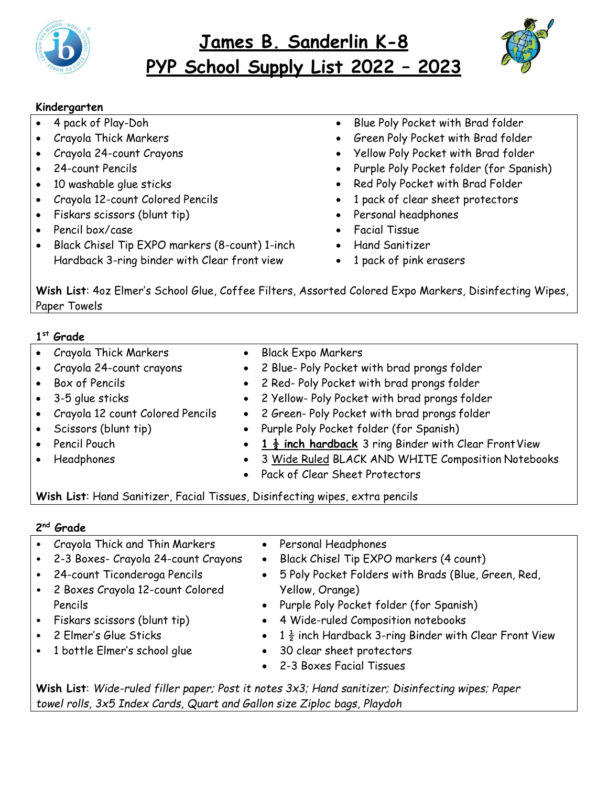

# **James B. Sanderlin K-8 PYP School Supply List 2022 – 2023**



### **Kindergarten**

- 4 pack of Play-Doh
- Crayola Thick Markers
- Crayola 24-count Crayons
- 24-count Pencils
- 10 washable glue sticks
- Crayola 12-count Colored Pencils
- Fiskars scissors (blunt tip)
- Pencil box/case
- Black Chisel Tip EXPO markers (8-count) 1-inch Hardback 3-ring binder with Clear front view
- Blue Poly Pocket with Brad folder
- Green Poly Pocket with Brad folder
- Yellow Poly Pocket with Brad folder
- Purple Poly Pocket folder (for Spanish)
- Red Poly Pocket with Brad Folder
- 1 pack of clear sheet protectors
- Personal headphones
- Facial Tissue
- Hand Sanitizer
- 1 pack of pink erasers

**Wish List**: 4oz Elmer's School Glue, Coffee Filters, Assorted Colored Expo Markers, Disinfecting Wipes, Paper Towels

## **1 st Grade**

- Crayola Thick Markers
- Crayola 24-count crayons
- Box of Pencils
- 3-5 glue sticks
- Crayola 12 count Colored Pencils
- Scissors (blunt tip)
- Pencil Pouch
- Headphones
- Black Expo Markers
- 2 Blue- Poly Pocket with brad prongs folder
	- 2 Red- Poly Pocket with brad prongs folder
- 2 Yellow- Poly Pocket with brad prongs folder
- 2 Green- Poly Pocket with brad prongs folder
- Purple Poly Pocket folder (for Spanish)
- 1  $\frac{1}{2}$  inch hardback 3 ring Binder with Clear Front View
- 3 Wide Ruled BLACK AND WHITE Composition Notebooks
- Pack of Clear Sheet Protectors

**Wish List**: Hand Sanitizer, Facial Tissues, Disinfecting wipes, extra pencils

## **2 nd Grade**

- Crayola Thick and Thin Markers
- 2-3 Boxes- Crayola 24-count Crayons
- 24-count Ticonderoga Pencils
- 2 Boxes Crayola 12-count Colored Pencils
- Fiskars scissors (blunt tip)
- 2 Elmer's Glue Sticks
- 1 bottle Elmer's school glue
- Personal Headphones
- Black Chisel Tip EXPO markers (4 count)
- 5 Poly Pocket Folders with Brads (Blue, Green, Red, Yellow, Orange)
- Purple Poly Pocket folder (for Spanish)
- 4 Wide-ruled Composition notebooks
- 1 $\frac{1}{2}$  inch Hardback 3-ring Binder with Clear Front View
- 30 clear sheet protectors
- 2-3 Boxes Facial Tissues

**Wish List**: *Wide-ruled filler paper; Post it notes 3x3; Hand sanitizer; Disinfecting wipes; Paper towel rolls, 3x5 Index Cards, Quart and Gallon size Ziploc bags, Playdoh*